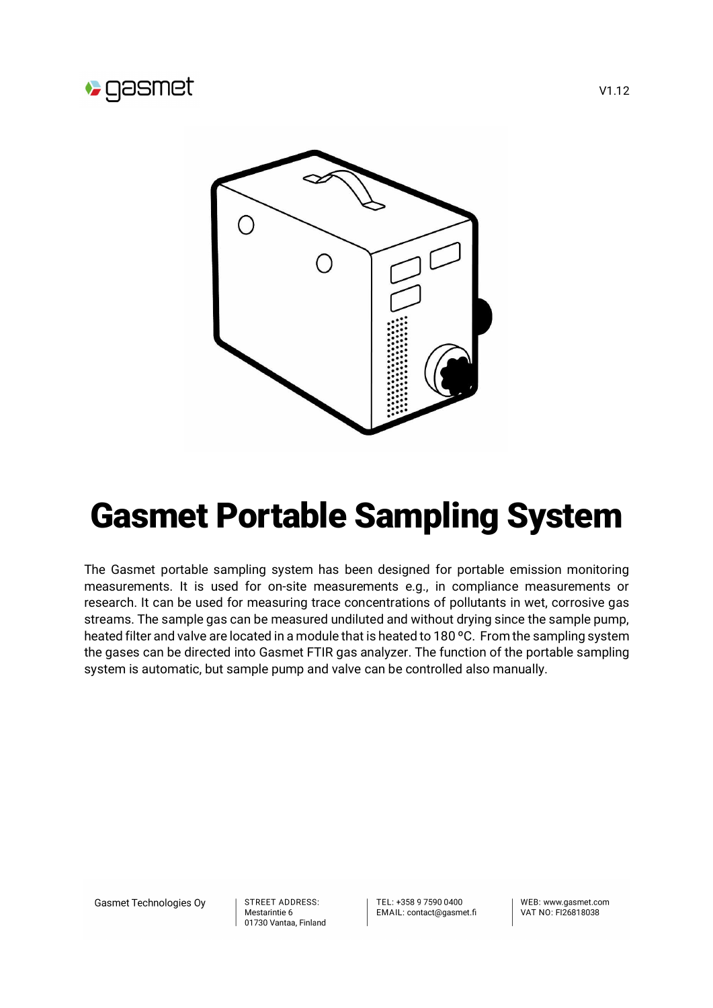



## Gasmet Portable Sampling System

The Gasmet portable sampling system has been designed for portable emission monitoring measurements. It is used for on-site measurements e.g., in compliance measurements or research. It can be used for measuring trace concentrations of pollutants in wet, corrosive gas streams. The sample gas can be measured undiluted and without drying since the sample pump, heated filter and valve are located in a module that is heated to 180 °C. From the sampling system the gases can be directed into Gasmet FTIR gas analyzer. The function of the portable sampling system is automatic, but sample pump and valve can be controlled also manually.

Gasmet Technologies Oy

STREET ADDRESS: Mestarintie 6 01730 Vantaa, Finland TEL: +358.9.7590.0400 EMAIL: contact@gasmet.fi WEB: www.gasmet.com VAT NO: FI26818038